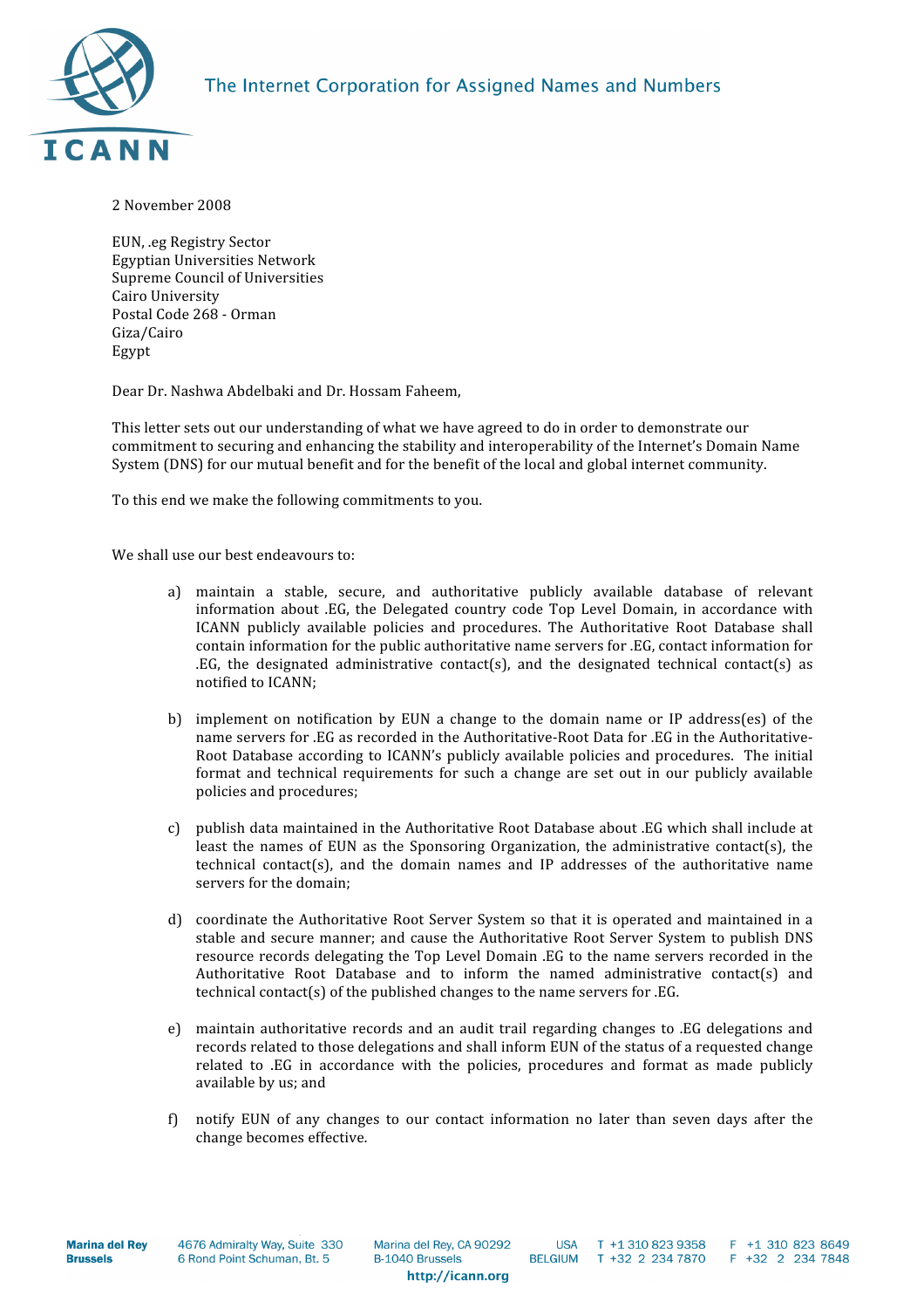

## 2
November
2008

EUN,
.eg
Registry
Sector Egyptian
Universities
Network Supreme
Council
of
Universities Cairo
University Postal
Code
268
‐
Orman Giza/Cairo Egypt

Dear
Dr.
Nashwa
Abdelbaki
and
Dr.
Hossam
Faheem,

This letter sets out our understanding of what we have agreed to do in order to demonstrate our commitment to securing and enhancing the stability and interoperability of the Internet's Domain Name System (DNS) for our mutual benefit and for the benefit of the local and global internet community.

To
this
end
we
make
the
following
commitments
to
you.

We shall use our best endeavours to:

- a) maintain a stable, secure, and authoritative publicly available database of relevant information about .EG, the Delegated country code Top Level Domain, in accordance with ICANN publicly available policies and procedures. The Authoritative Root Database shall contain information for the public authoritative name servers for .EG, contact information for  $EG$ , the designated administrative contact(s), and the designated technical contact(s) as notified
to
ICANN;
- b) implement on notification by EUN a change to the domain name or IP address(es) of the name servers for .EG as recorded in the Authoritative-Root Data for .EG in the Authoritative-Root Database according to ICANN's publicly available policies and procedures. The initial format and technical requirements for such a change are set out in our publicly available policies
and
procedures;
- c) publish data maintained in the Authoritative Root Database about .EG which shall include at least the names of EUN as the Sponsoring Organization, the administrative contact(s), the technical contact(s), and the domain names and IP addresses of the authoritative name servers
for
the
domain;
- d) coordinate
 the
Authoritative
Root
Server
System
so
 that
it
is
operated
and
maintained
in
a stable and secure manner; and cause the Authoritative Root Server System to publish DNS resource records delegating the Top Level Domain .EG to the name servers recorded in the Authoritative Root Database and to inform the named administrative contact(s) and technical contact(s) of the published changes to the name servers for .EG.
- e) maintain authoritative records and an audit trail regarding changes to .EG delegations and records related to those delegations and shall inform EUN of the status of a requested change related to .EG in accordance with the policies, procedures and format as made publicly available
by
us;
and
- f) notify EUN of any changes to our contact information no later than seven days after the change
becomes
effective.

**TISA** T +1.310.823.9358 **BELGIUM** T +32 2 234 7870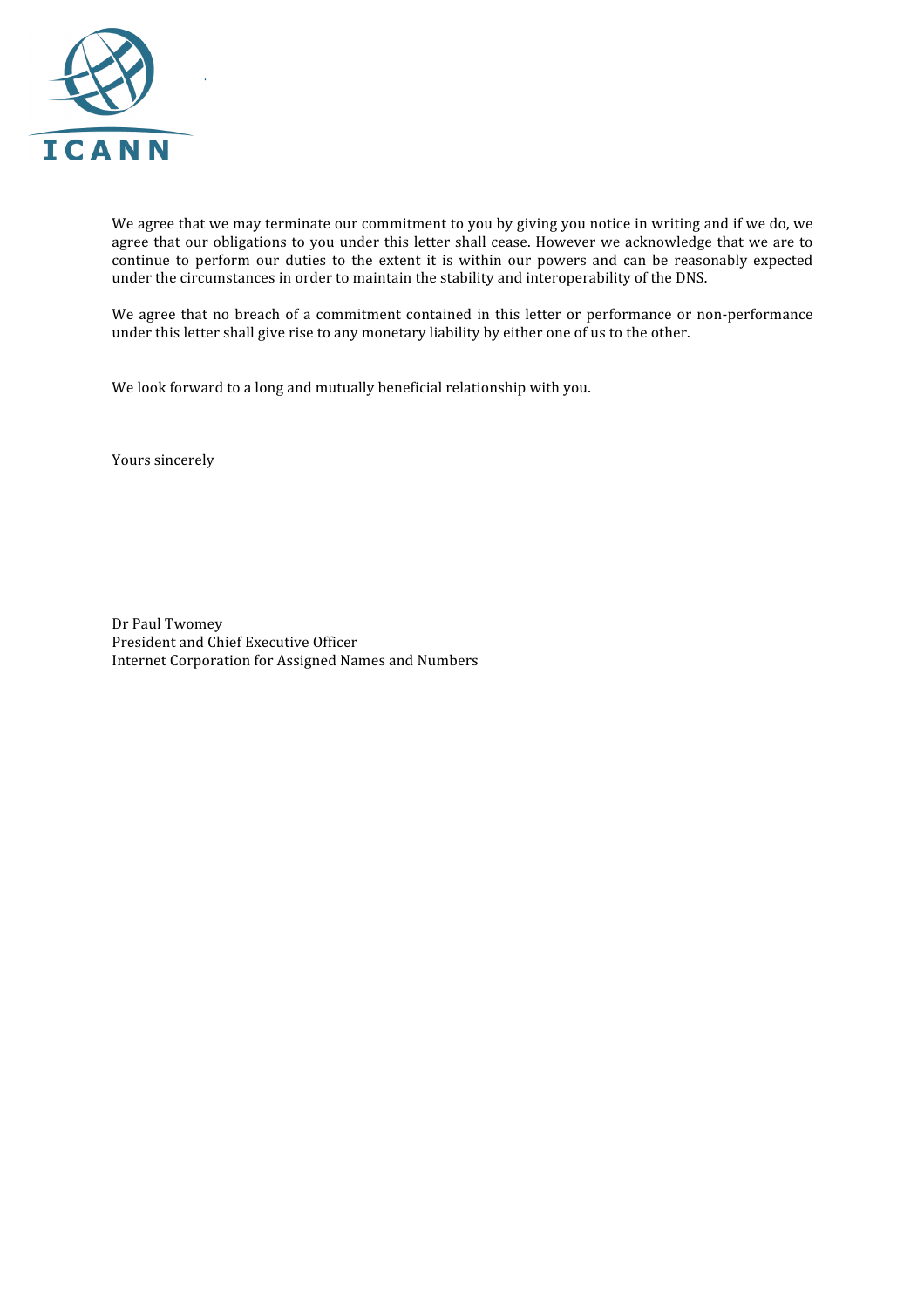

We agree that we may terminate our commitment to you by giving you notice in writing and if we do, we agree that our obligations to you under this letter shall cease. However we acknowledge that we are to continue to perform our duties to the extent it is within our powers and can be reasonably expected under
the
circumstances
in
order
to
maintain
the
stability
and
interoperability
of
the
DNS.

We agree that no breach of a commitment contained in this letter or performance or non-performance under this letter shall give rise to any monetary liability by either one of us to the other.

We look forward to a long and mutually beneficial relationship with you.

Yours
sincerely

Dr
Paul
Twomey President
and
Chief
Executive
Officer Internet
Corporation
for
Assigned
Names
and
Numbers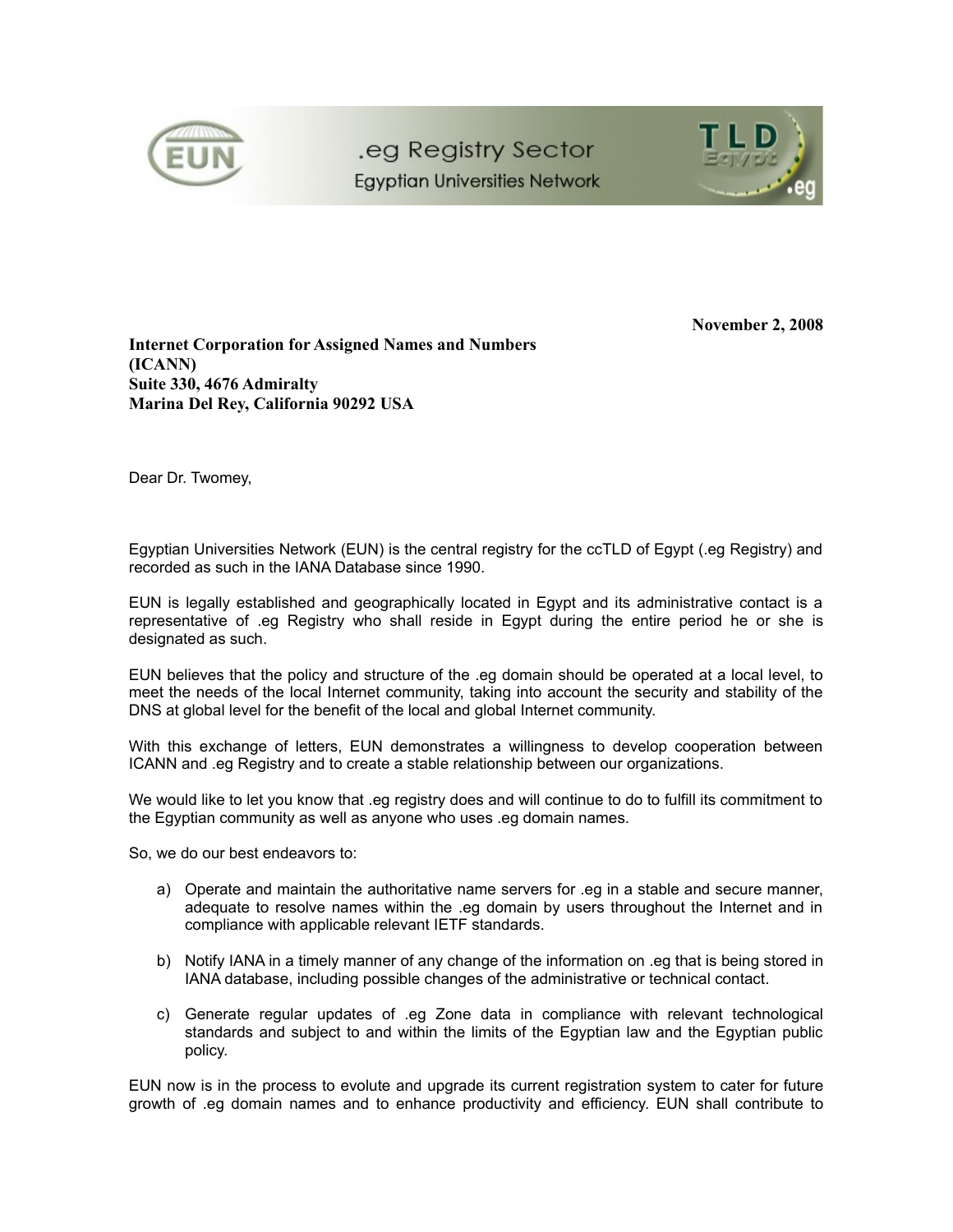



**November 2, 2008**

**Internet Corporation for Assigned Names and Numbers (ICANN) Suite 330, 4676 Admiralty Marina Del Rey, California 90292 USA**

Dear Dr. Twomey,

Egyptian Universities Network (EUN) is the central registry for the ccTLD of Egypt (.eg Registry) and recorded as such in the IANA Database since 1990.

EUN is legally established and geographically located in Egypt and its administrative contact is a representative of .eg Registry who shall reside in Egypt during the entire period he or she is designated as such.

EUN believes that the policy and structure of the .eg domain should be operated at a local level, to meet the needs of the local Internet community, taking into account the security and stability of the DNS at global level for the benefit of the local and global Internet community.

With this exchange of letters, EUN demonstrates a willingness to develop cooperation between ICANN and .eg Registry and to create a stable relationship between our organizations.

We would like to let you know that .eg registry does and will continue to do to fulfill its commitment to the Egyptian community as well as anyone who uses .eg domain names.

So, we do our best endeavors to:

- a) Operate and maintain the authoritative name servers for .eg in a stable and secure manner, adequate to resolve names within the .eg domain by users throughout the Internet and in compliance with applicable relevant IETF standards.
- b) Notify IANA in a timely manner of any change of the information on .eg that is being stored in IANA database, including possible changes of the administrative or technical contact.
- c) Generate regular updates of .eg Zone data in compliance with relevant technological standards and subject to and within the limits of the Egyptian law and the Egyptian public policy.

EUN now is in the process to evolute and upgrade its current registration system to cater for future growth of .eg domain names and to enhance productivity and efficiency. EUN shall contribute to